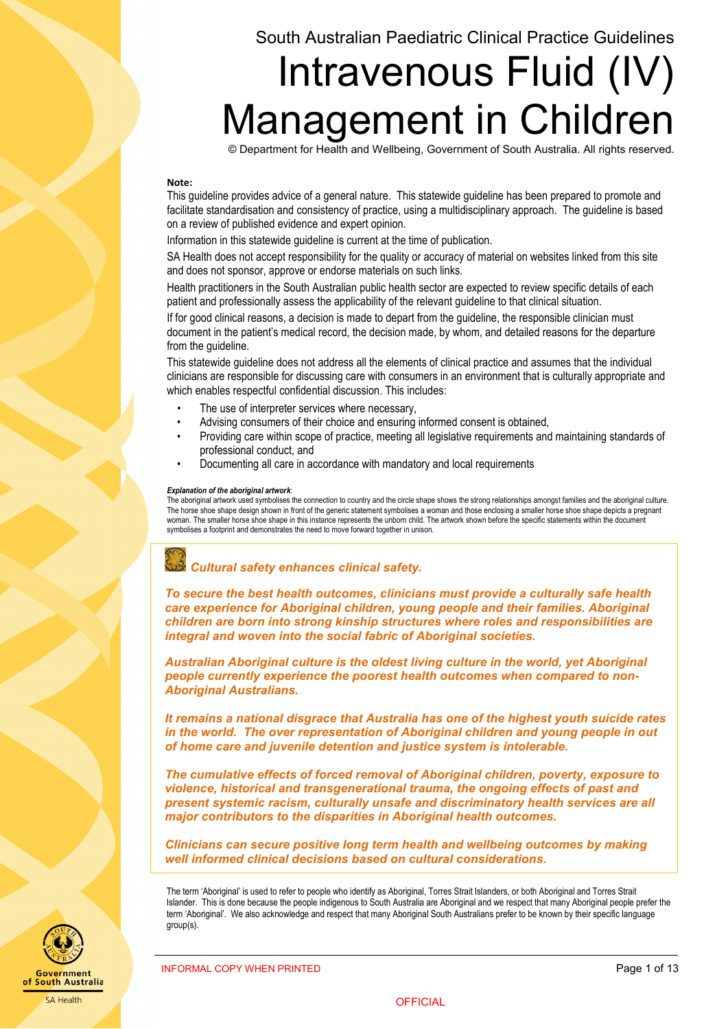# South Australian Paediatric Clinical Practice Guidelines

# Intravenous Fluid (IV) Management in Children

© Department for Health and Wellbeing, Government of South Australia. All rights reserved.

#### **Note:**

This guideline provides advice of a general nature. This statewide guideline has been prepared to promote and facilitate standardisation and consistency of practice, using a multidisciplinary approach. The guideline is based on a review of published evidence and expert opinion.

Information in this statewide guideline is current at the time of publication.

SA Health does not accept responsibility for the quality or accuracy of material on websites linked from this site and does not sponsor, approve or endorse materials on such links.

Health practitioners in the South Australian public health sector are expected to review specific details of each patient and professionally assess the applicability of the relevant guideline to that clinical situation.

If for good clinical reasons, a decision is made to depart from the guideline, the responsible clinician must document in the patient's medical record, the decision made, by whom, and detailed reasons for the departure from the guideline.

This statewide guideline does not address all the elements of clinical practice and assumes that the individual clinicians are responsible for discussing care with consumers in an environment that is culturally appropriate and which enables respectful confidential discussion. This includes:

- The use of interpreter services where necessary,
- Advising consumers of their choice and ensuring informed consent is obtained,
- Providing care within scope of practice, meeting all legislative requirements and maintaining standards of professional conduct, and
- Documenting all care in accordance with mandatory and local requirements

#### *Explanation of the aboriginal artwork*:

The aboriginal artwork used symbolises the connection to country and the circle shape shows the strong relationships amongst families and the aboriginal culture. The horse shoe shape design shown in front of the generic statement symbolises a woman and those enclosing a smaller horse shoe shape depicts a pregnant woman. The smaller horse shoe shape in this instance represents the unborn child. The artwork shown before the specific statements within the document symbolises a footprint and demonstrates the need to move forward together in unison.



*To secure the best health outcomes, clinicians must provide a culturally safe health care experience for Aboriginal children, young people and their families. Aboriginal children are born into strong kinship structures where roles and responsibilities are integral and woven into the social fabric of Aboriginal societies.*

*Australian Aboriginal culture is the oldest living culture in the world, yet Aboriginal people currently experience the poorest health outcomes when compared to non-Aboriginal Australians.*

*It remains a national disgrace that Australia has one of the highest youth suicide rates in the world. The over representation of Aboriginal children and young people in out of home care and juvenile detention and justice system is intolerable.*

*The cumulative effects of forced removal of Aboriginal children, poverty, exposure to violence, historical and transgenerational trauma, the ongoing effects of past and present systemic racism, culturally unsafe and discriminatory health services are all major contributors to the disparities in Aboriginal health outcomes.*

*Clinicians can secure positive long term health and wellbeing outcomes by making well informed clinical decisions based on cultural considerations.*

The term 'Aboriginal' is used to refer to people who identify as Aboriginal, Torres Strait Islanders, or both Aboriginal and Torres Strait Islander. This is done because the people indigenous to South Australia are Aboriginal and we respect that many Aboriginal people prefer the term 'Aboriginal'. We also acknowledge and respect that many Aboriginal South Australians prefer to be known by their specific language group(s).



INFORMAL COPY WHEN PRINTED **Page 1 of 13** 

**OFFICIAL**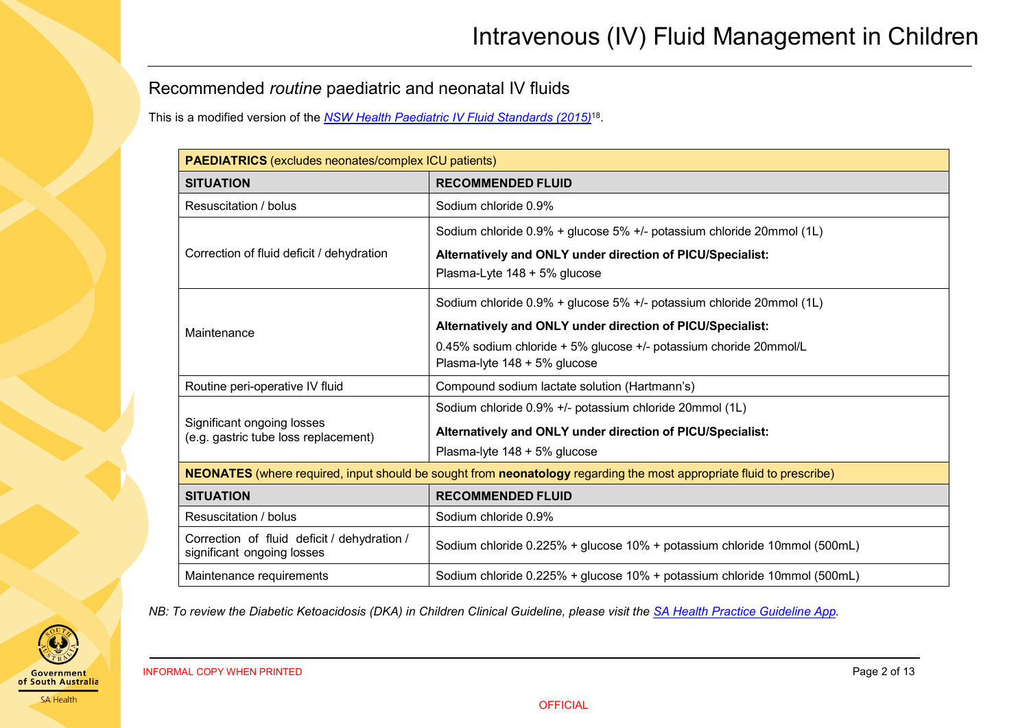# Recommended *routine* paediatric and neonatal IV fluids

This is a modified version of the *[NSW Health Paediatric IV Fluid Standards \(2015\)](https://www1.health.nsw.gov.au/pds/ActivePDSDocuments/GL2015_008.pdf)*18.

| <b>PAEDIATRICS</b> (excludes neonates/complex ICU patients)                                                          |                                                                                                   |  |  |  |
|----------------------------------------------------------------------------------------------------------------------|---------------------------------------------------------------------------------------------------|--|--|--|
| <b>SITUATION</b>                                                                                                     | <b>RECOMMENDED FLUID</b>                                                                          |  |  |  |
| Resuscitation / bolus                                                                                                | Sodium chloride 0.9%                                                                              |  |  |  |
|                                                                                                                      | Sodium chloride 0.9% + glucose 5% +/- potassium chloride 20mmol (1L)                              |  |  |  |
| Correction of fluid deficit / dehydration                                                                            | Alternatively and ONLY under direction of PICU/Specialist:<br>Plasma-Lyte 148 + 5% glucose        |  |  |  |
|                                                                                                                      | Sodium chloride 0.9% + glucose 5% +/- potassium chloride 20mmol (1L)                              |  |  |  |
| Maintenance                                                                                                          | Alternatively and ONLY under direction of PICU/Specialist:                                        |  |  |  |
|                                                                                                                      | 0.45% sodium chloride + 5% glucose +/- potassium choride 20mmol/L<br>Plasma-lyte 148 + 5% glucose |  |  |  |
| Routine peri-operative IV fluid                                                                                      | Compound sodium lactate solution (Hartmann's)                                                     |  |  |  |
|                                                                                                                      | Sodium chloride 0.9% +/- potassium chloride 20mmol (1L)                                           |  |  |  |
| Significant ongoing losses<br>(e.g. gastric tube loss replacement)                                                   | Alternatively and ONLY under direction of PICU/Specialist:                                        |  |  |  |
|                                                                                                                      | Plasma-lyte 148 + 5% glucose                                                                      |  |  |  |
| NEONATES (where required, input should be sought from neonatology regarding the most appropriate fluid to prescribe) |                                                                                                   |  |  |  |
| <b>SITUATION</b>                                                                                                     | <b>RECOMMENDED FLUID</b>                                                                          |  |  |  |
| Resuscitation / bolus                                                                                                | Sodium chloride 0.9%                                                                              |  |  |  |
| Correction of fluid deficit / dehydration /<br>significant ongoing losses                                            | Sodium chloride 0.225% + glucose 10% + potassium chloride 10mmol (500mL)                          |  |  |  |
| Maintenance requirements                                                                                             | Sodium chloride 0.225% + glucose 10% + potassium chloride 10mmol (500mL)                          |  |  |  |

<span id="page-1-0"></span>*NB: To review the Diabetic Ketoacidosis (DKA) in Children Clinical Guideline, please visit the [SA Health Practice Guideline App.](https://extapps2.sahealth.sa.gov.au/PracticeGuidelines/)*



INFORMAL COPY WHEN PRINTED **Page 2 of 13**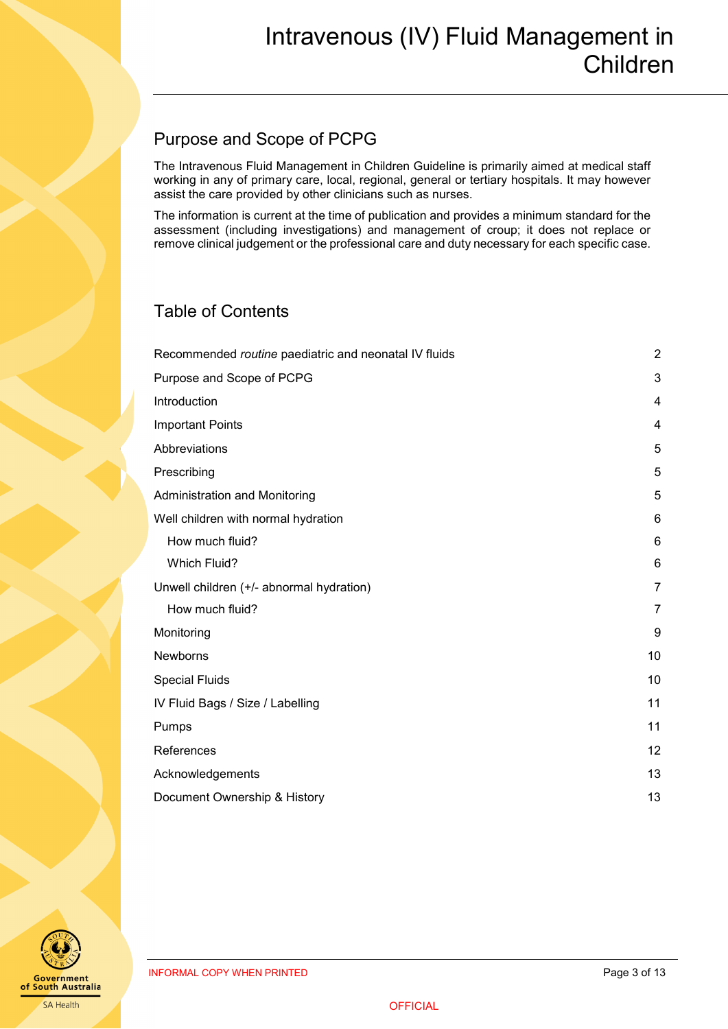# <span id="page-2-0"></span>Purpose and Scope of PCPG

The Intravenous Fluid Management in Children Guideline is primarily aimed at medical staff working in any of primary care, local, regional, general or tertiary hospitals. It may however assist the care provided by other clinicians such as nurses.

The information is current at the time of publication and provides a minimum standard for the assessment (including investigations) and management of croup; it does not replace or remove clinical judgement or the professional care and duty necessary for each specific case.

# Table of Contents

| Recommended routine paediatric and neonatal IV fluids | $\overline{2}$ |
|-------------------------------------------------------|----------------|
| Purpose and Scope of PCPG                             | 3              |
| Introduction                                          | 4              |
| <b>Important Points</b>                               | 4              |
| Abbreviations                                         | 5              |
| Prescribing                                           | 5              |
| Administration and Monitoring                         | 5              |
| Well children with normal hydration                   | 6              |
| How much fluid?                                       | 6              |
| <b>Which Fluid?</b>                                   | 6              |
| Unwell children (+/- abnormal hydration)              | 7              |
| How much fluid?                                       | $\overline{7}$ |
| Monitoring                                            | 9              |
| Newborns                                              | 10             |
| <b>Special Fluids</b>                                 | 10             |
| IV Fluid Bags / Size / Labelling                      | 11             |
| Pumps                                                 | 11             |
| References                                            | 12             |
| Acknowledgements                                      | 13             |
| Document Ownership & History                          | 13             |

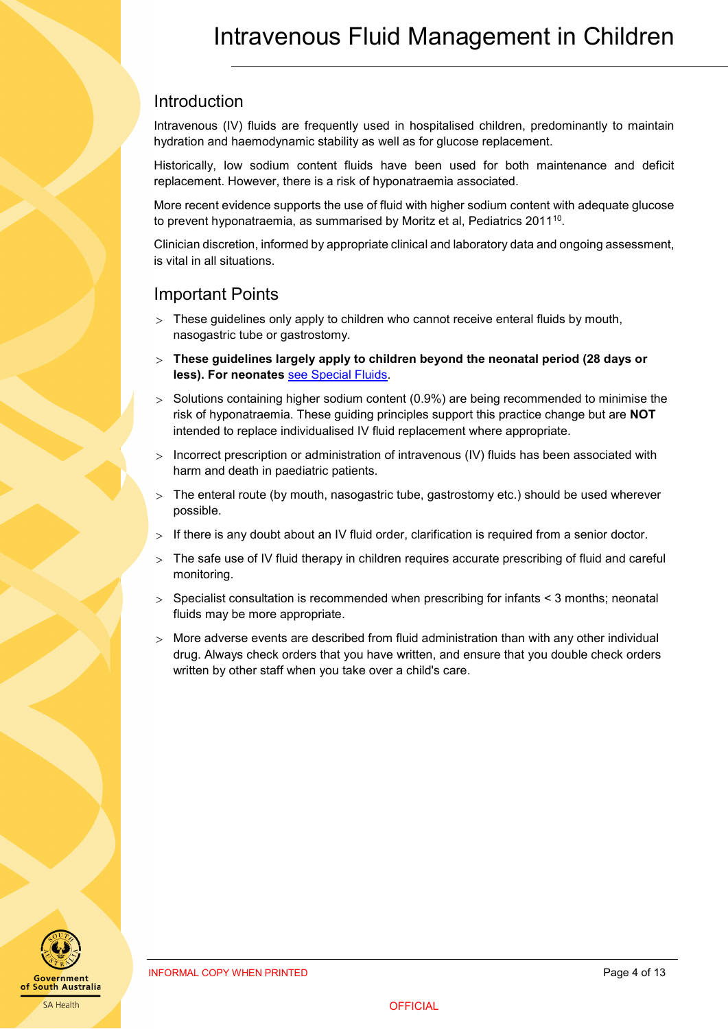### <span id="page-3-0"></span>Introduction

Intravenous (IV) fluids are frequently used in hospitalised children, predominantly to maintain hydration and haemodynamic stability as well as for glucose replacement.

Historically, low sodium content fluids have been used for both maintenance and deficit replacement. However, there is a risk of hyponatraemia associated.

More recent evidence supports the use of fluid with higher sodium content with adequate glucose to prevent hyponatraemia, as summarised by Moritz et al, Pediatrics 2011<sup>10</sup>.

Clinician discretion, informed by appropriate clinical and laboratory data and ongoing assessment, is vital in all situations.

## <span id="page-3-1"></span>Important Points

- $>$  These quidelines only apply to children who cannot receive enteral fluids by mouth, nasogastric tube or gastrostomy.
- > **These guidelines largely apply to children beyond the neonatal period (28 days or less). For neonates** [see Special Fluids.](#page-9-2)
- > Solutions containing higher sodium content (0.9%) are being recommended to minimise the risk of hyponatraemia. These guiding principles support this practice change but are **NOT** intended to replace individualised IV fluid replacement where appropriate.
- > Incorrect prescription or administration of intravenous (IV) fluids has been associated with harm and death in paediatric patients.
- > The enteral route (by mouth, nasogastric tube, gastrostomy etc.) should be used wherever possible.
- $>$  If there is any doubt about an IV fluid order, clarification is required from a senior doctor.
- > The safe use of IV fluid therapy in children requires accurate prescribing of fluid and careful monitoring.
- $>$  Specialist consultation is recommended when prescribing for infants  $<$  3 months; neonatal fluids may be more appropriate.
- $>$  More adverse events are described from fluid administration than with any other individual drug. Always check orders that you have written, and ensure that you double check orders written by other staff when you take over a child's care.

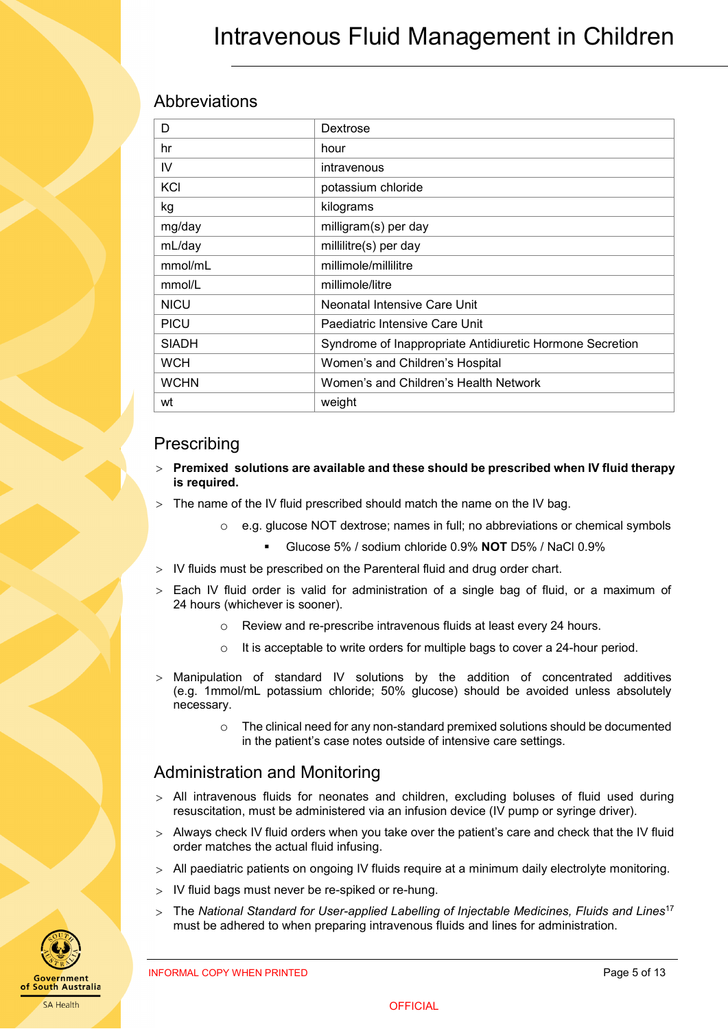# <span id="page-4-0"></span>Abbreviations

| D            | Dextrose                                                 |  |  |
|--------------|----------------------------------------------------------|--|--|
| hr           | hour                                                     |  |  |
| IV           | intravenous                                              |  |  |
| KCI          | potassium chloride                                       |  |  |
| kg           | kilograms                                                |  |  |
| mg/day       | milligram(s) per day                                     |  |  |
| mL/day       | millilitre(s) per day                                    |  |  |
| mmol/mL      | millimole/millilitre                                     |  |  |
| mmol/L       | millimole/litre                                          |  |  |
| <b>NICU</b>  | Neonatal Intensive Care Unit                             |  |  |
| <b>PICU</b>  | Paediatric Intensive Care Unit                           |  |  |
| <b>SIADH</b> | Syndrome of Inappropriate Antidiuretic Hormone Secretion |  |  |
| <b>WCH</b>   | Women's and Children's Hospital                          |  |  |
| <b>WCHN</b>  | Women's and Children's Health Network                    |  |  |
| wt           | weight                                                   |  |  |

### <span id="page-4-1"></span>Prescribing

- > **Premixed solutions are available and these should be prescribed when IV fluid therapy is required.**
- The name of the IV fluid prescribed should match the name on the IV bag.
	- $\circ$  e.g. glucose NOT dextrose; names in full; no abbreviations or chemical symbols
		- Glucose 5% / sodium chloride 0.9% **NOT** D5% / NaCl 0.9%
- > IV fluids must be prescribed on the Parenteral fluid and drug order chart.
- Each IV fluid order is valid for administration of a single bag of fluid, or a maximum of 24 hours (whichever is sooner).
	- o Review and re-prescribe intravenous fluids at least every 24 hours.
	- o It is acceptable to write orders for multiple bags to cover a 24-hour period.
- > Manipulation of standard IV solutions by the addition of concentrated additives (e.g. 1mmol/mL potassium chloride; 50% glucose) should be avoided unless absolutely necessary.
	- $\circ$  The clinical need for any non-standard premixed solutions should be documented in the patient's case notes outside of intensive care settings.

# <span id="page-4-2"></span>Administration and Monitoring

- $>$  All intravenous fluids for neonates and children, excluding boluses of fluid used during resuscitation, must be administered via an infusion device (IV pump or syringe driver).
- > Always check IV fluid orders when you take over the patient's care and check that the IV fluid order matches the actual fluid infusing.
- > All paediatric patients on ongoing IV fluids require at a minimum daily electrolyte monitoring.
- IV fluid bags must never be re-spiked or re-hung.
- > The *National Standard for User-applied Labelling of Injectable Medicines, Fluids and Lines*<sup>17</sup> must be adhered to when preparing intravenous fluids and lines for administration.

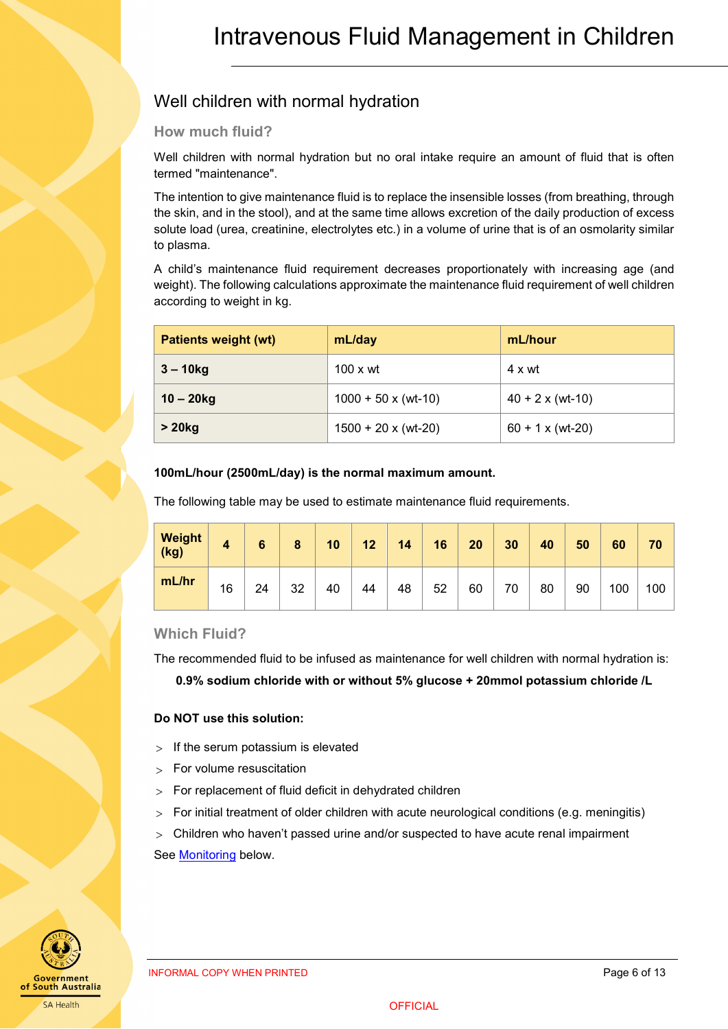# <span id="page-5-0"></span>Well children with normal hydration

### <span id="page-5-1"></span>**How much fluid?**

Well children with normal hydration but no oral intake require an amount of fluid that is often termed "maintenance".

The intention to give maintenance fluid is to replace the insensible losses (from breathing, through the skin, and in the stool), and at the same time allows excretion of the daily production of excess solute load (urea, creatinine, electrolytes etc.) in a volume of urine that is of an osmolarity similar to plasma.

A child's maintenance fluid requirement decreases proportionately with increasing age (and weight). The following calculations approximate the maintenance fluid requirement of well children according to weight in kg.

| <b>Patients weight (wt)</b> | mL/day                     | mL/hour                 |  |
|-----------------------------|----------------------------|-------------------------|--|
| $3 - 10$ kg                 | $100 \times wt$            | 4 x wt                  |  |
| $10 - 20$ kg                | $1000 + 50 \times (wt-10)$ | $40 + 2 \times (wt-10)$ |  |
| $> 20$ kg                   | $1500 + 20 \times (wt-20)$ | $60 + 1 \times (wt-20)$ |  |

#### **100mL/hour (2500mL/day) is the normal maximum amount.**

The following table may be used to estimate maintenance fluid requirements.

| <b>Weight</b><br>(kg) | 4  | 6  | 8  | 10 | 12 | 14 | 16 | 20 | 30 | 40 | 50 | 60  | 70  |
|-----------------------|----|----|----|----|----|----|----|----|----|----|----|-----|-----|
| mL/hr                 | 16 | 24 | 32 | 40 | 44 | 48 | 52 | 60 | 70 | 80 | 90 | 100 | 100 |

### <span id="page-5-2"></span>**Which Fluid?**

The recommended fluid to be infused as maintenance for well children with normal hydration is:

**0.9% sodium chloride with or without 5% glucose + 20mmol potassium chloride /L** 

### **Do NOT use this solution:**

- $>$  If the serum potassium is elevated
- > For volume resuscitation
- > For replacement of fluid deficit in dehydrated children
- > For initial treatment of older children with acute neurological conditions (e.g. meningitis)

> Children who haven't passed urine and/or suspected to have acute renal impairment Se[e Monitoring](#page-8-1) below.



INFORMAL COPY WHEN PRINTED **Example 20 and 20 and 20 and 20 and 20 and 20 and 20 and 20 and 20 and 20 and 20 and 20 and 20 and 20 and 20 and 20 and 20 and 20 and 20 and 20 and 20 and 20 and 20 and 20 and 20 and 20 and 20 a**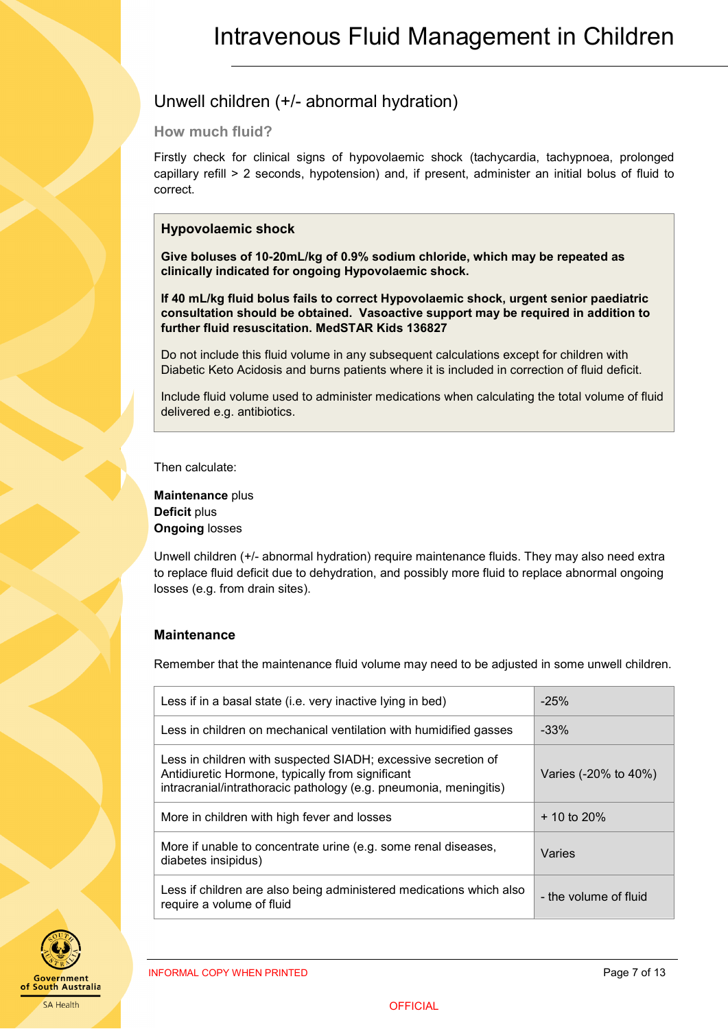# <span id="page-6-0"></span>Unwell children (+/- abnormal hydration)

### <span id="page-6-1"></span>**How much fluid?**

Firstly check for clinical signs of hypovolaemic shock (tachycardia, tachypnoea, prolonged capillary refill > 2 seconds, hypotension) and, if present, administer an initial bolus of fluid to correct.

### **Hypovolaemic shock**

**Give boluses of 10-20mL/kg of 0.9% sodium chloride, which may be repeated as clinically indicated for ongoing Hypovolaemic shock.** 

**If 40 mL/kg fluid bolus fails to correct Hypovolaemic shock, urgent senior paediatric consultation should be obtained. Vasoactive support may be required in addition to further fluid resuscitation. MedSTAR Kids 136827**

Do not include this fluid volume in any subsequent calculations except for children with Diabetic Keto Acidosis and burns patients where it is included in correction of fluid deficit.

Include fluid volume used to administer medications when calculating the total volume of fluid delivered e.g. antibiotics.

Then calculate:

**Maintenance** plus **Deficit** plus **Ongoing** losses

Unwell children (+/- abnormal hydration) require maintenance fluids. They may also need extra to replace fluid deficit due to dehydration, and possibly more fluid to replace abnormal ongoing losses (e.g. from drain sites).

### **Maintenance**

Remember that the maintenance fluid volume may need to be adjusted in some unwell children.

| Less if in a basal state (i.e. very inactive lying in bed)                                                                                                                             | $-25%$                |
|----------------------------------------------------------------------------------------------------------------------------------------------------------------------------------------|-----------------------|
| Less in children on mechanical ventilation with humidified gasses                                                                                                                      | $-33%$                |
| Less in children with suspected SIADH; excessive secretion of<br>Antidiuretic Hormone, typically from significant<br>intracranial/intrathoracic pathology (e.g. pneumonia, meningitis) | Varies (-20% to 40%)  |
| More in children with high fever and losses                                                                                                                                            | $+10$ to 20%          |
| More if unable to concentrate urine (e.g. some renal diseases,<br>diabetes insipidus)                                                                                                  | Varies                |
| Less if children are also being administered medications which also<br>require a volume of fluid                                                                                       | - the volume of fluid |

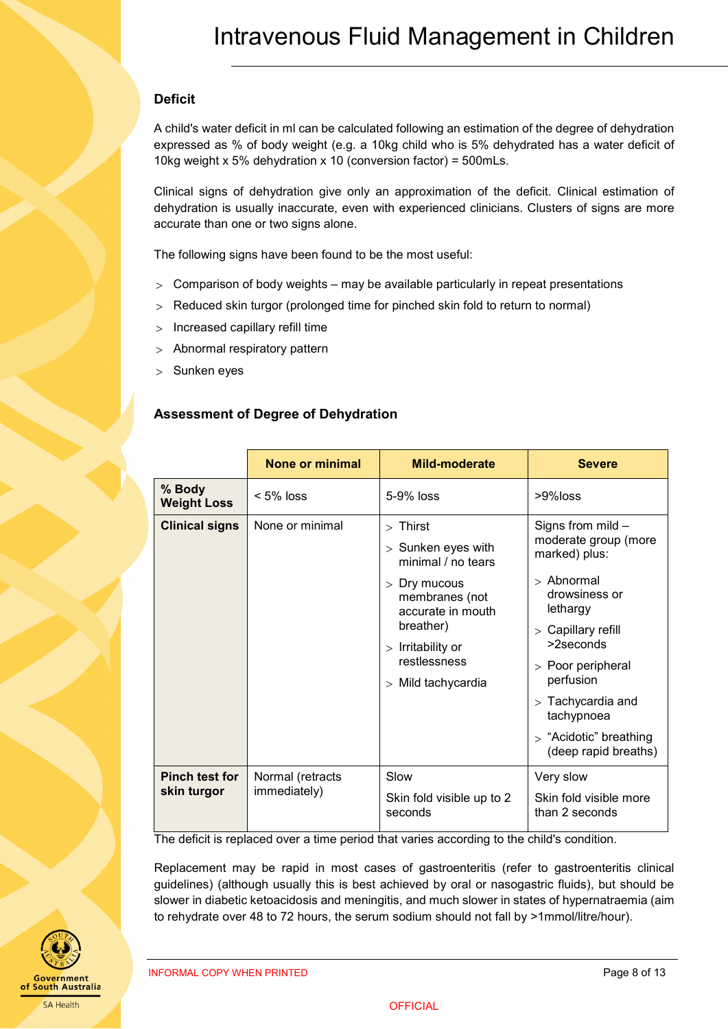### **Deficit**

A child's water deficit in ml can be calculated following an estimation of the degree of dehydration expressed as % of body weight (e.g. a 10kg child who is 5% dehydrated has a water deficit of 10kg weight x 5% dehydration x 10 (conversion factor) = 500mLs.

Clinical signs of dehydration give only an approximation of the deficit. Clinical estimation of dehydration is usually inaccurate, even with experienced clinicians. Clusters of signs are more accurate than one or two signs alone.

The following signs have been found to be the most useful:

- $>$  Comparison of body weights may be available particularly in repeat presentations
- > Reduced skin turgor (prolonged time for pinched skin fold to return to normal)
- > Increased capillary refill time
- > Abnormal respiratory pattern
- > Sunken eyes

### **Assessment of Degree of Dehydration**

|                                      | None or minimal                  | <b>Mild-moderate</b>                                                                                                                                                                        | <b>Severe</b>                                                                                                                                                                                                                                                          |
|--------------------------------------|----------------------------------|---------------------------------------------------------------------------------------------------------------------------------------------------------------------------------------------|------------------------------------------------------------------------------------------------------------------------------------------------------------------------------------------------------------------------------------------------------------------------|
| % Body<br><b>Weight Loss</b>         | $< 5\%$ loss                     | 5-9% loss                                                                                                                                                                                   | $>9\%$ loss                                                                                                                                                                                                                                                            |
| <b>Clinical signs</b>                | None or minimal                  | $>$ Thirst<br>$>$ Sunken eyes with<br>minimal / no tears<br>$>$ Dry mucous<br>membranes (not<br>accurate in mouth<br>breather)<br>$>$ Irritability or<br>restlessness<br>> Mild tachycardia | Signs from mild -<br>moderate group (more<br>marked) plus:<br>$>$ Abnormal<br>drowsiness or<br>lethargy<br>> Capillary refill<br>$>2$ seconds<br>> Poor peripheral<br>perfusion<br>$>$ Tachycardia and<br>tachypnoea<br>> "Acidotic" breathing<br>(deep rapid breaths) |
| <b>Pinch test for</b><br>skin turgor | Normal (retracts<br>immediately) | Slow<br>Skin fold visible up to 2<br>seconds                                                                                                                                                | Very slow<br>Skin fold visible more<br>than 2 seconds                                                                                                                                                                                                                  |

The deficit is replaced over a time period that varies according to the child's condition.

Replacement may be rapid in most cases of gastroenteritis (refer to gastroenteritis clinical guidelines) (although usually this is best achieved by oral or nasogastric fluids), but should be slower in diabetic ketoacidosis and meningitis, and much slower in states of hypernatraemia (aim to rehydrate over 48 to 72 hours, the serum sodium should not fall by >1mmol/litre/hour).



INFORMAL COPY WHEN PRINTED **Page 8 of 13** and 20 and 20 and 20 and 20 and 20 and 20 and 20 and 20 and 20 and 20 and 20 and 20 and 20 and 20 and 20 and 20 and 20 and 20 and 20 and 20 and 20 and 20 and 20 and 20 and 20 and 2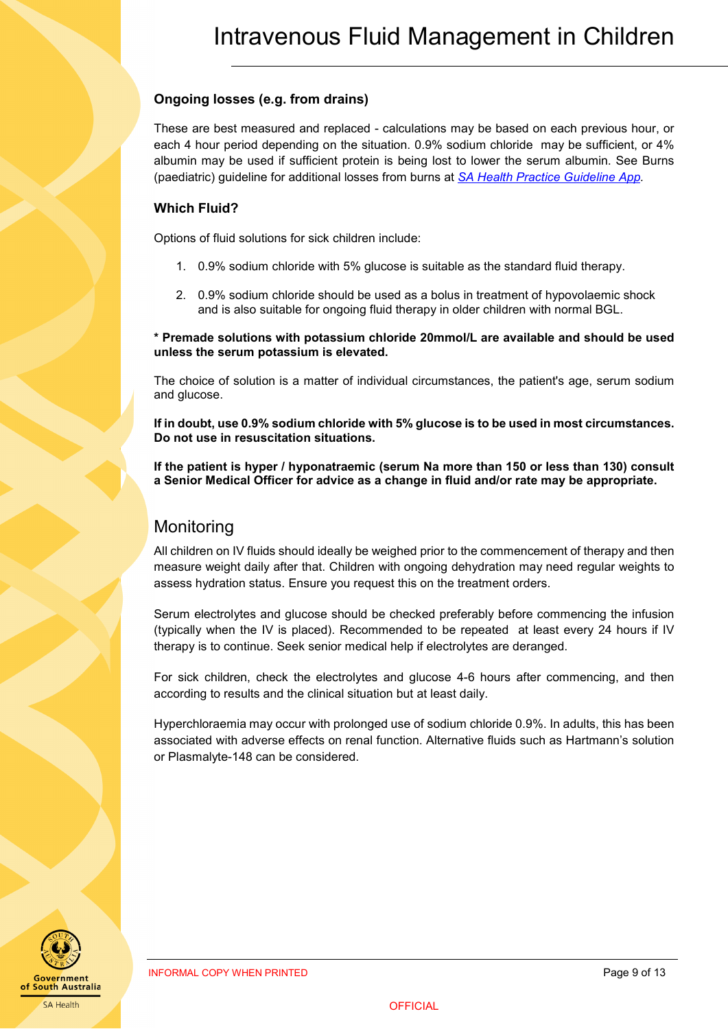### <span id="page-8-1"></span>**Ongoing losses (e.g. from drains)**

These are best measured and replaced - calculations may be based on each previous hour, or each 4 hour period depending on the situation. 0.9% sodium chloride may be sufficient, or 4% albumin may be used if sufficient protein is being lost to lower the serum albumin. See Burns (paediatric) guideline for additional losses from burns at *[SA Health Practice Guideline App.](https://extapps2.sahealth.sa.gov.au/PracticeGuidelines/)*

### **Which Fluid?**

Options of fluid solutions for sick children include:

- 1. 0.9% sodium chloride with 5% glucose is suitable as the standard fluid therapy.
- 2. 0.9% sodium chloride should be used as a bolus in treatment of hypovolaemic shock and is also suitable for ongoing fluid therapy in older children with normal BGL.

**\* Premade solutions with potassium chloride 20mmol/L are available and should be used unless the serum potassium is elevated.**

The choice of solution is a matter of individual circumstances, the patient's age, serum sodium and glucose.

**If in doubt, use 0.9% sodium chloride with 5% glucose is to be used in most circumstances. Do not use in resuscitation situations.**

**If the patient is hyper / hyponatraemic (serum Na more than 150 or less than 130) consult a Senior Medical Officer for advice as a change in fluid and/or rate may be appropriate.**

### <span id="page-8-0"></span>**Monitoring**

All children on IV fluids should ideally be weighed prior to the commencement of therapy and then measure weight daily after that. Children with ongoing dehydration may need regular weights to assess hydration status. Ensure you request this on the treatment orders.

Serum electrolytes and glucose should be checked preferably before commencing the infusion (typically when the IV is placed). Recommended to be repeated at least every 24 hours if IV therapy is to continue. Seek senior medical help if electrolytes are deranged.

For sick children, check the electrolytes and glucose 4-6 hours after commencing, and then according to results and the clinical situation but at least daily.

Hyperchloraemia may occur with prolonged use of sodium chloride 0.9%. In adults, this has been associated with adverse effects on renal function. Alternative fluids such as Hartmann's solution or Plasmalyte-148 can be considered.

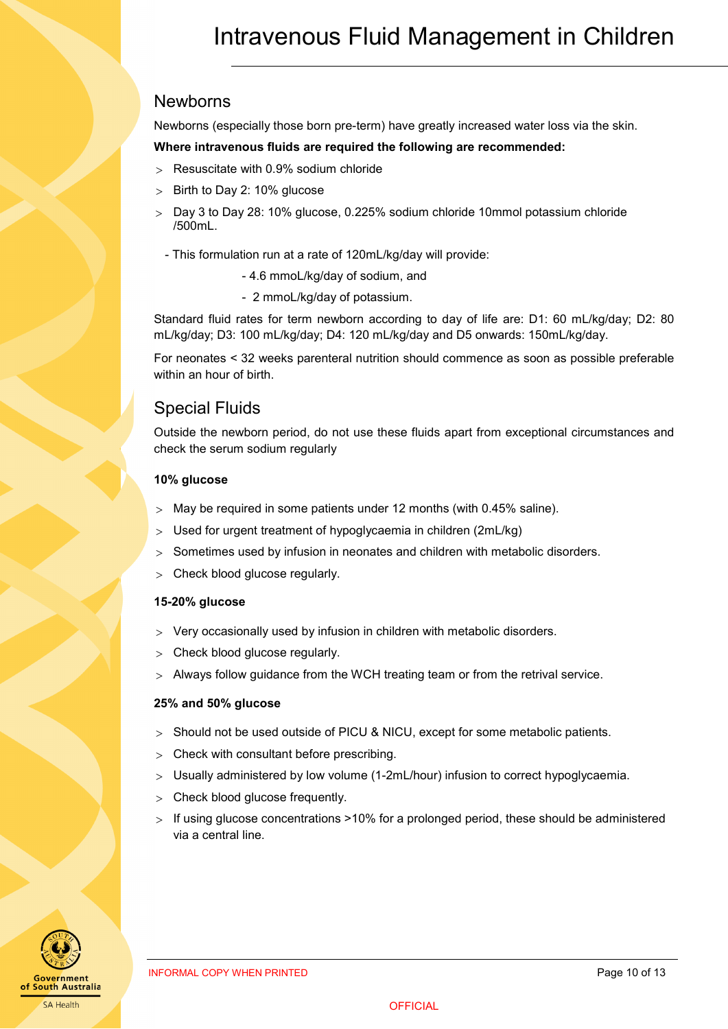### <span id="page-9-2"></span><span id="page-9-0"></span>Newborns

Newborns (especially those born pre-term) have greatly increased water loss via the skin.

#### **Where intravenous fluids are required the following are recommended:**

- > Resuscitate with 0.9% sodium chloride
- Birth to Day 2: 10% glucose
- > Day 3 to Day 28: 10% glucose, 0.225% sodium chloride 10mmol potassium chloride /500mL.
	- This formulation run at a rate of 120mL/kg/day will provide:
		- 4.6 mmoL/kg/day of sodium, and
		- 2 mmoL/kg/day of potassium.

Standard fluid rates for term newborn according to day of life are: D1: 60 mL/kg/day; D2: 80 mL/kg/day; D3: 100 mL/kg/day; D4: 120 mL/kg/day and D5 onwards: 150mL/kg/day.

For neonates < 32 weeks parenteral nutrition should commence as soon as possible preferable within an hour of birth.

### <span id="page-9-1"></span>Special Fluids

Outside the newborn period, do not use these fluids apart from exceptional circumstances and check the serum sodium regularly

#### **10% glucose**

- $>$  May be required in some patients under 12 months (with 0.45% saline).
- > Used for urgent treatment of hypoglycaemia in children (2mL/kg)
- Sometimes used by infusion in neonates and children with metabolic disorders.
- Check blood glucose regularly.

#### **15-20% glucose**

- > Very occasionally used by infusion in children with metabolic disorders.
- > Check blood glucose regularly.
- > Always follow guidance from the WCH treating team or from the retrival service.

#### **25% and 50% glucose**

- > Should not be used outside of PICU & NICU, except for some metabolic patients.
- > Check with consultant before prescribing.
- > Usually administered by low volume (1-2mL/hour) infusion to correct hypoglycaemia.
- > Check blood glucose frequently.
- > If using glucose concentrations >10% for a prolonged period, these should be administered via a central line.

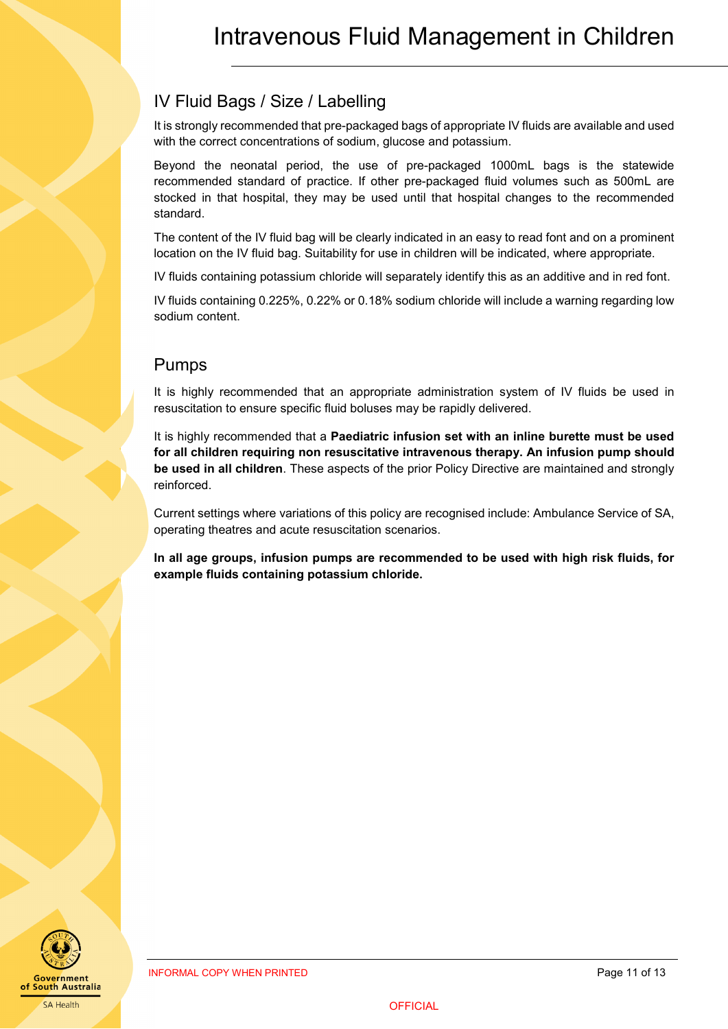# <span id="page-10-0"></span>IV Fluid Bags / Size / Labelling

It is strongly recommended that pre-packaged bags of appropriate IV fluids are available and used with the correct concentrations of sodium, glucose and potassium.

Beyond the neonatal period, the use of pre-packaged 1000mL bags is the statewide recommended standard of practice. If other pre-packaged fluid volumes such as 500mL are stocked in that hospital, they may be used until that hospital changes to the recommended standard.

The content of the IV fluid bag will be clearly indicated in an easy to read font and on a prominent location on the IV fluid bag. Suitability for use in children will be indicated, where appropriate.

IV fluids containing potassium chloride will separately identify this as an additive and in red font.

IV fluids containing 0.225%, 0.22% or 0.18% sodium chloride will include a warning regarding low sodium content.

# <span id="page-10-1"></span>Pumps

It is highly recommended that an appropriate administration system of IV fluids be used in resuscitation to ensure specific fluid boluses may be rapidly delivered.

It is highly recommended that a **Paediatric infusion set with an inline burette must be used for all children requiring non resuscitative intravenous therapy. An infusion pump should be used in all children**. These aspects of the prior Policy Directive are maintained and strongly reinforced.

Current settings where variations of this policy are recognised include: Ambulance Service of SA, operating theatres and acute resuscitation scenarios.

**In all age groups, infusion pumps are recommended to be used with high risk fluids, for example fluids containing potassium chloride.**

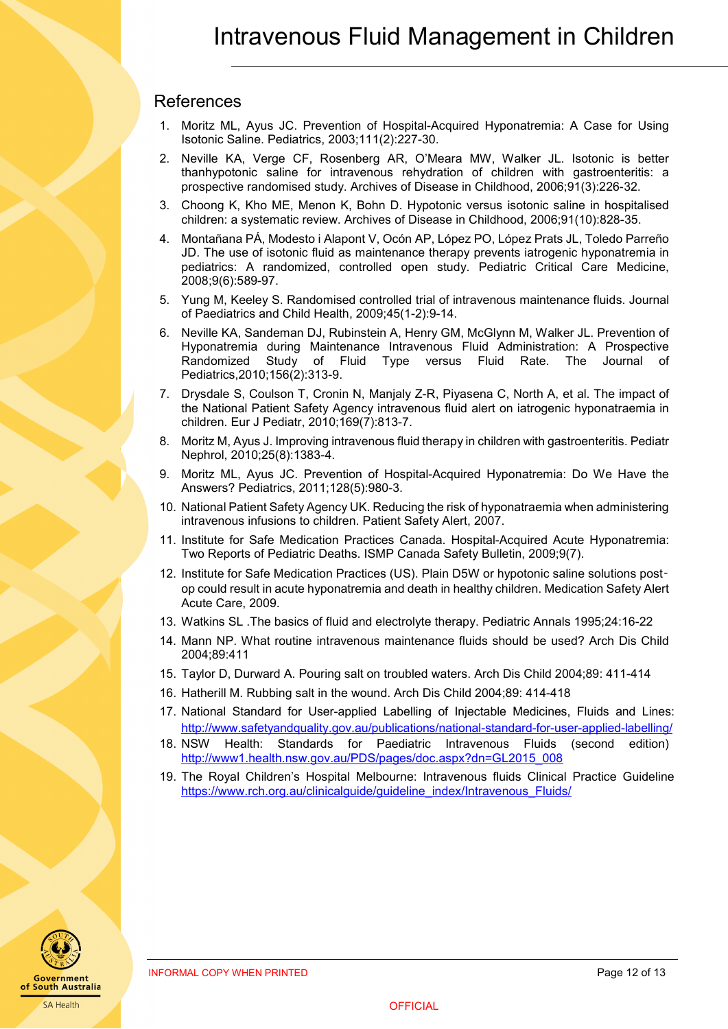### <span id="page-11-0"></span>References

- 1. Moritz ML, Ayus JC. Prevention of Hospital-Acquired Hyponatremia: A Case for Using Isotonic Saline. Pediatrics, 2003;111(2):227-30.
- 2. Neville KA, Verge CF, Rosenberg AR, O'Meara MW, Walker JL. Isotonic is better thanhypotonic saline for intravenous rehydration of children with gastroenteritis: a prospective randomised study. Archives of Disease in Childhood, 2006;91(3):226-32.
- 3. Choong K, Kho ME, Menon K, Bohn D. Hypotonic versus isotonic saline in hospitalised children: a systematic review. Archives of Disease in Childhood, 2006;91(10):828-35.
- 4. Montañana PÁ, Modesto i Alapont V, Ocón AP, López PO, López Prats JL, Toledo Parreño JD. The use of isotonic fluid as maintenance therapy prevents iatrogenic hyponatremia in pediatrics: A randomized, controlled open study. Pediatric Critical Care Medicine, 2008;9(6):589-97.
- 5. Yung M, Keeley S. Randomised controlled trial of intravenous maintenance fluids. Journal of Paediatrics and Child Health, 2009;45(1-2):9-14.
- 6. Neville KA, Sandeman DJ, Rubinstein A, Henry GM, McGlynn M, Walker JL. Prevention of Hyponatremia during Maintenance Intravenous Fluid Administration: A Prospective Randomized Study of Fluid Type versus Fluid Rate. The Journal of Pediatrics,2010;156(2):313-9.
- 7. Drysdale S, Coulson T, Cronin N, Manjaly Z-R, Piyasena C, North A, et al. The impact of the National Patient Safety Agency intravenous fluid alert on iatrogenic hyponatraemia in children. Eur J Pediatr, 2010;169(7):813-7.
- 8. Moritz M, Ayus J. Improving intravenous fluid therapy in children with gastroenteritis. Pediatr Nephrol, 2010;25(8):1383-4.
- 9. Moritz ML, Ayus JC. Prevention of Hospital-Acquired Hyponatremia: Do We Have the Answers? Pediatrics, 2011;128(5):980-3.
- 10. National Patient Safety Agency UK. Reducing the risk of hyponatraemia when administering intravenous infusions to children. Patient Safety Alert, 2007.
- 11. Institute for Safe Medication Practices Canada. Hospital-Acquired Acute Hyponatremia: Two Reports of Pediatric Deaths. ISMP Canada Safety Bulletin, 2009;9(7).
- 12. Institute for Safe Medication Practices (US). Plain D5W or hypotonic saline solutions post‑ op could result in acute hyponatremia and death in healthy children. Medication Safety Alert Acute Care, 2009.
- 13. Watkins SL .The basics of fluid and electrolyte therapy. Pediatric Annals 1995;24:16-22
- 14. Mann NP. What routine intravenous maintenance fluids should be used? Arch Dis Child 2004;89:411
- 15. Taylor D, Durward A. Pouring salt on troubled waters. Arch Dis Child 2004;89: 411-414
- 16. Hatherill M. Rubbing salt in the wound. Arch Dis Child 2004;89: 414-418
- 17. National Standard for User-applied [Labelling of Injectable Medicines, Fluids and Lines:](http://www.safetyandquality.gov.au/publications/national-standard-for-user-applied-labelling/) <http://www.safetyandquality.gov.au/publications/national-standard-for-user-applied-labelling/>
- 18. NSW Health: Standards for Paediatric Intravenous Fluids (second edition) [http://www1.health.nsw.gov.au/PDS/pages/doc.aspx?dn=GL2015\\_008](http://www1.health.nsw.gov.au/PDS/pages/doc.aspx?dn=GL2015_008)
- 19. The Royal Children's Hospital Melbourne: Intravenous fluids Clinical Practice Guideline [https://www.rch.org.au/clinicalguide/guideline\\_index/Intravenous\\_Fluids/](https://www.rch.org.au/clinicalguide/guideline_index/Intravenous_Fluids/)